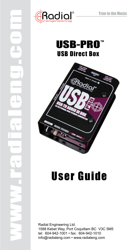





# User Guide

Radial Engineering Ltd. 1588 Kebet Way, Port Coquitlam BC V3C 5M5 tel: 604-942-1001 • fax: 604-942-1010 info@radialeng.com • www.radialeng.com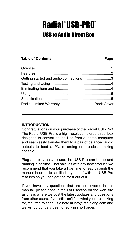## Radial®USB-PRO® USB to Audio Direct Box

#### **Table of Contents Page**

| Getting started and audio connections 3 |  |
|-----------------------------------------|--|
|                                         |  |
|                                         |  |
|                                         |  |
|                                         |  |
|                                         |  |
|                                         |  |

#### **Introduction**

Congratulations on your purchase of the Radial USB-Pro! The Radial USB-Pro is a high-resolution stereo direct box designed to convert sound files from a laptop computer and seamlessly transfer them to a pair of balanced audio outputs to feed a PA, recording or broadcast mixing console.

Plug and play easy to use, the USB-Pro can be up and running in no time. That said, as with any new product, we recommend that you take a little time to read through the manual in order to familiarize yourself with the USB-Pro features so you can get the most out of it.

If you have any questions that are not covered in this manual, please consult the FAQ section on the web site as this is where we post the latest updates and questions from other users. If you still can't find what you are looking for, feel free to send us a note at info@radialeng.com and we will do our very best to reply in short order.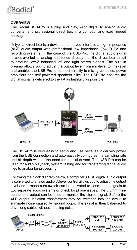

#### **OVERVIEW**

The Radial USB-Pro is a plug and play, 24bit digital to analog audio converter and professional direct box in a compact and road rugged package.

 A typical direct box is a device that lets you interface a high impedance (hi-Z) audio output with professional low impedance (low-Z) PA and recording systems. In the case of the USB-Pro, the digital audio signal is controverted to analog and feeds directly into the direct box circuit to produce low-Z balanced left and right stereo signals. The built in preamp allows you to adjust the output level from mic-level to line-level and enables the USB-Pro to connect directly to mixing consoles, power amplifiers and self-powered speakers alike. The USB-Pro ensures the digital signal is delivered to the PA as faithfully as possible.



The USB-Pro is very easy to setup and use because it derives power from the USB connection and automatically configures the sampling rate and bit depth without the need for special drivers. The USB-Pro can be used for audio playback, system testing and for transferring digital audio files to analog for processing.

Following the block diagram below, a computer's USB digital audio output is converted to analog audio. A level control allows you to adjust the output level and a mono sum switch can be activated to send mono signals to two separate audio systems or check for phase issues. The 3.5mm miniheadphone output can be used to monitor the stereo signal. Before the XLR output, isolation transformers may be switched into the circuit to eliminate noise caused by ground loops. The signal is then balanced to drive long cables without inducing noise.



1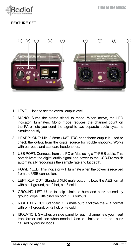

#### **FEATURE SET**



- 1. LEVEL: Used to set the overall output level.
- 2. MONO: Sums the stereo signal to mono. When active, the LED indicator illuminates. Mono mode reduces the channel count on the PA or lets you send the signal to two separate audio systems simultaneously.
- 3. HEADPHONE: Mini 3.5mm (1/8") TRS headphone output is used to check the output from the digital source for trouble shooting. Works with ear-buds and standard headphones.
- 4. USB PORT: Connects from the PC or Mac using a TYPE B cable. This port delivers the digital audio signal and power to the USB-Pro which automatically recognizes the sample rate and bit depth.
- 5. POWER LED: This indicator will illuminate when the power is received from the USB connection.
- 6. LEFT XLR OUT: Standard XLR male output follows the AES format with pin-1 ground, pin-2 hot, pin-3 cold.
- 7. GROUND LIFT: Used to help eliminate hum and buzz caused by ground loops. Lifts pin-1 on both XLR outputs.
- 8. RIGHT XLR OUT: Standard XLR male output follows the AES format with pin-1 ground, pin-2 hot, pin-3 cold.
- 9. ISOLATION: Switches on side panel for each channel lets you insert transformer isolation when needed. Use to eliminate hum and buzz caused by ground loops.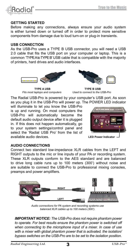#### **Getting Started**

**R**adia

Before making any connections, always ensure your audio system is either turned down or turned off in order to protect more sensitive components from damage due to loud turn-on or plug-in transients.

#### **USB Connection**

As the USB-Pro uses a TYPE B USB connector, you will need a USB 2.0 cable that fits the USB port on your computer or laptop. This is a common 'TYPE A to TYPE B' USB cable that is compatible with the majority of printers, hard drives and audio interfaces.



**TYPE A USB** *Fits most laptops and computers*

**TYPE B USB** *Used to connect to the USB-Pro*

The Radial USB-Pro is powered by your computer's USB port. As soon as you plug it in the USB-Pro will power up. The POWER LED indicator

will illuminate to let you know the USB-Pro is up and running. On most computers the USB-Pro will automatically become the default audio output device after it is plugged in. If this does not happen automatically, go to your system settings/control panel and select the 'Radial USB Pro' from the list of available audio devices.

**USB** 

**LED Power Indicator**

#### **Audio Connections**

Connect two standard low-impedance XLR cables from the LEFT and RIGHT outputs to the mic or line inputs of your PA or recording system. These XLR outputs conform to the AES standard and are balanced to drive long cable runs up to 100 meters (300') without noise and are suitable to connect the USB-Pro to professional mixing consoles, preamps and power amplifiers.



*Audio connections for PA system and recording systems use balanced XLR cables up to 100 meters (300').*

*IMPORTANT NOTICE: The USB-Pro does not require phantom power to operate. For best results ensure the phantom power is switched off when connecting to the microphone input of a mixer. In case of use with a mixer with global phantom power that is activated, the isolation/ bypass switches on the USB-Pro are to be set to the isolation position.*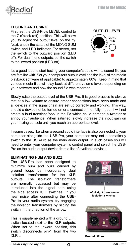

#### **Testing And Using**

First, set the USB-Pro's LEVEL control to the 7 o'clock (off) position. This will allow you to adjust the output level on the fly. Next, check the status of the MONO SUM switch and LED indicator. For stereo, set the switch to the outward position (LED off). For dual mono outputs, set the switch to the inward position (LED on).

It's a good idea to start testing your computer's audio with a sound file you are familiar with. Set your computers output level and the level of the media playback software (if applicable) to approximately 80%. Keep in mind that various media files will play back at different volume levels depending on your software and how the sound file was recorded.

Slowly raise the output level of the USB-Pro. It is good practice to always test at a low volume to ensure proper connections have been made and all devices in the signal chain are set up correctly and working. This way, should a device not be turned on or a connection not fully made, it will not create a loud transient 'pop' in the PA which could damage a tweeter or annoy your audience. When satisfied, slowly increase the input gain on your mixing console until you reach an appropriate level.

In some cases, like when a second audio interface is also connected to your computer alongside the USB-Pro, your computer may not automatically switch to the USB-Pro as the main audio output. In such cases you will need to enter your computer system's control panel and select the USB-Pro as the audio output device from a list of available devices.

#### **Eliminating HUM AND BUZZ**

The USB-Pro has been designed to minimize hum and buzz caused by ground loops by incorporating dual isolation transformers for the XLR outputs. The isolation transformers are normally bypassed but may be introduced into the signal path using the side access ISO switches. If you hear noise after connecting the USB-Pro to your audio system, try engaging the isolation transformers by sliding the switch in the direction of the arrow.

This is supplemented with a ground LIFT switch located next to the XLR outputs. When set to the inward position, this switch disconnects pin-1 from the two XLR's.



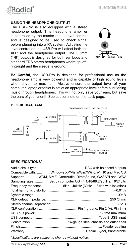

#### **Using the Headphone output**

The USB-Pro is also equipped with a stereo headphone output. This headphone amplifier is controlled by the master output level control. and is designed to be used to check signal before plugging into a PA system. Adjusting the level control on the USB Pro will affect both the XLR and the headphone output. The 3.5mm (1/8") output is designed for both ear buds and standard TRS stereo headphones where tip-left ring-right and the sleeve is ground.



**Be Careful**, the USB-Pro is designed for professional use as the headphone amp is very powerful and is capable of high sound levels when driven to maximum. Always ensure the output level of your computer, laptop or tablet is set at an appropriate level before auditioning music through headphones. This will not only save your ears, but save the ears of your client! See caution note on the back page.

#### **Block Diagram**



#### **Specifications\***

| Compatible with:  Windows XP/Vista/Win7/Win8/Win10 and Mac OS    |
|------------------------------------------------------------------|
| Supports: WDM, MME, CoreAudio, DirectSound, WASAPI and .WAV      |
| Sampling rates: Set by computer OS 44.1/48/88.2/96kHz; 16/24bits |
| Frequency response:  5Hz - 40kHz (30Hz - 18kHz with isolation)   |
|                                                                  |
|                                                                  |
|                                                                  |
|                                                                  |
|                                                                  |
|                                                                  |
|                                                                  |
|                                                                  |
|                                                                  |
|                                                                  |
|                                                                  |

*\*Specifications are subject to change without notice.*